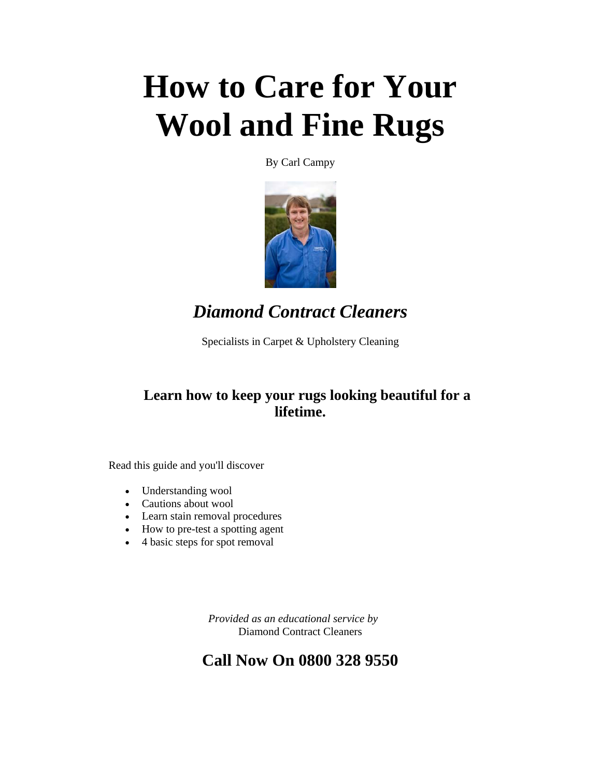# **How to Care for Your Wool and Fine Rugs**

By Carl Campy



*Diamond Contract Cleaners* 

Specialists in Carpet & Upholstery Cleaning

#### **Learn how to keep your rugs looking beautiful for a lifetime.**

Read this guide and you'll discover

- Understanding wool
- Cautions about wool
- Learn stain removal procedures
- How to pre-test a spotting agent
- 4 basic steps for spot removal

 *Provided as an educational service by*  Diamond Contract Cleaners

#### **Call Now On 0800 328 9550**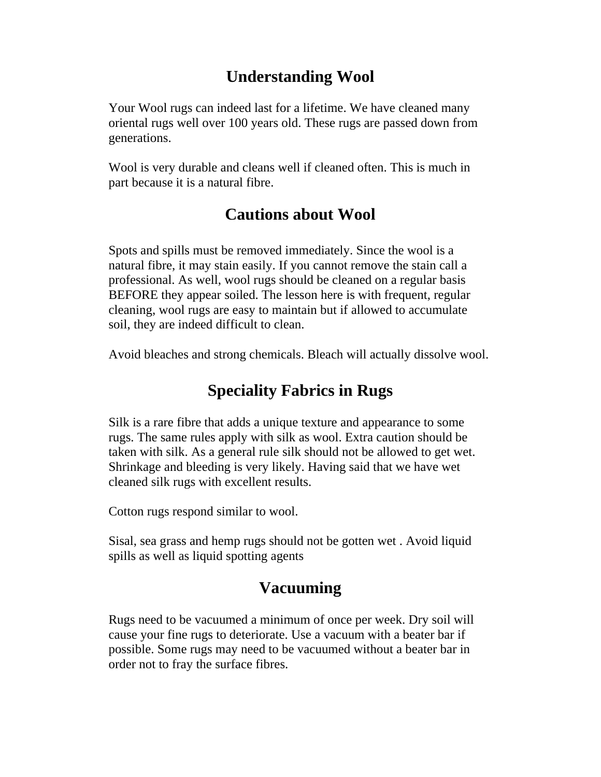# **Understanding Wool**

Your Wool rugs can indeed last for a lifetime. We have cleaned many oriental rugs well over 100 years old. These rugs are passed down from generations.

Wool is very durable and cleans well if cleaned often. This is much in part because it is a natural fibre.

# **Cautions about Wool**

Spots and spills must be removed immediately. Since the wool is a natural fibre, it may stain easily. If you cannot remove the stain call a professional. As well, wool rugs should be cleaned on a regular basis BEFORE they appear soiled. The lesson here is with frequent, regular cleaning, wool rugs are easy to maintain but if allowed to accumulate soil, they are indeed difficult to clean.

Avoid bleaches and strong chemicals. Bleach will actually dissolve wool.

# **Speciality Fabrics in Rugs**

Silk is a rare fibre that adds a unique texture and appearance to some rugs. The same rules apply with silk as wool. Extra caution should be taken with silk. As a general rule silk should not be allowed to get wet. Shrinkage and bleeding is very likely. Having said that we have wet cleaned silk rugs with excellent results.

Cotton rugs respond similar to wool.

Sisal, sea grass and hemp rugs should not be gotten wet . Avoid liquid spills as well as liquid spotting agents

# **Vacuuming**

Rugs need to be vacuumed a minimum of once per week. Dry soil will cause your fine rugs to deteriorate. Use a vacuum with a beater bar if possible. Some rugs may need to be vacuumed without a beater bar in order not to fray the surface fibres.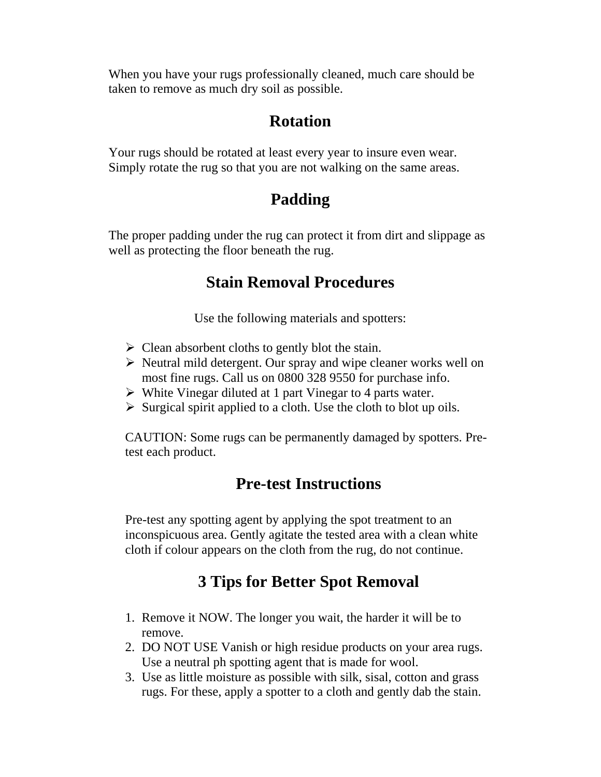When you have your rugs professionally cleaned, much care should be taken to remove as much dry soil as possible.

#### **Rotation**

Your rugs should be rotated at least every year to insure even wear. Simply rotate the rug so that you are not walking on the same areas.

# **Padding**

The proper padding under the rug can protect it from dirt and slippage as well as protecting the floor beneath the rug.

#### **Stain Removal Procedures**

Use the following materials and spotters:

- $\triangleright$  Clean absorbent cloths to gently blot the stain.
- $\triangleright$  Neutral mild detergent. Our spray and wipe cleaner works well on most fine rugs. Call us on 0800 328 9550 for purchase info.
- $\triangleright$  White Vinegar diluted at 1 part Vinegar to 4 parts water.
- $\triangleright$  Surgical spirit applied to a cloth. Use the cloth to blot up oils.

CAUTION: Some rugs can be permanently damaged by spotters. Pretest each product.

# **Pre-test Instructions**

Pre-test any spotting agent by applying the spot treatment to an inconspicuous area. Gently agitate the tested area with a clean white cloth if colour appears on the cloth from the rug, do not continue.

# **3 Tips for Better Spot Removal**

- 1. Remove it NOW. The longer you wait, the harder it will be to remove.
- 2. DO NOT USE Vanish or high residue products on your area rugs. Use a neutral ph spotting agent that is made for wool.
- 3. Use as little moisture as possible with silk, sisal, cotton and grass rugs. For these, apply a spotter to a cloth and gently dab the stain.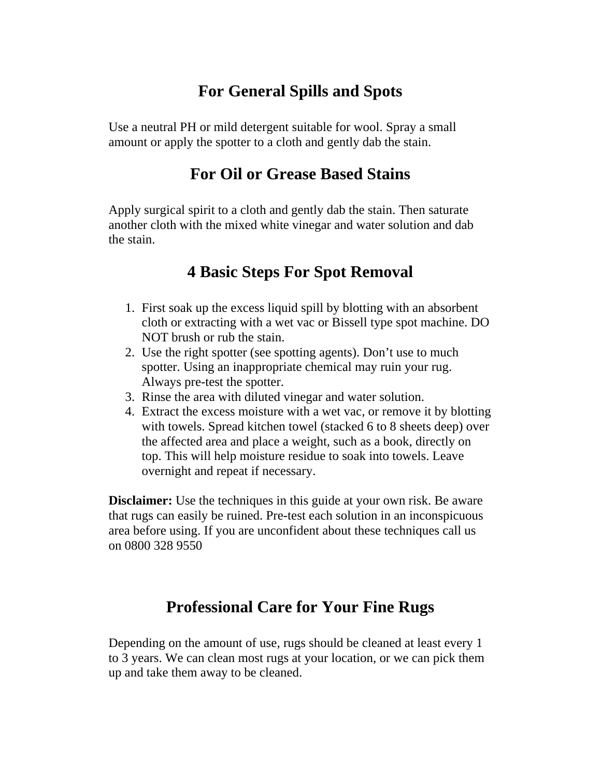# **For General Spills and Spots**

Use a neutral PH or mild detergent suitable for wool. Spray a small amount or apply the spotter to a cloth and gently dab the stain.

#### **For Oil or Grease Based Stains**

Apply surgical spirit to a cloth and gently dab the stain. Then saturate another cloth with the mixed white vinegar and water solution and dab the stain.

#### **4 Basic Steps For Spot Removal**

- 1. First soak up the excess liquid spill by blotting with an absorbent cloth or extracting with a wet vac or Bissell type spot machine. DO NOT brush or rub the stain.
- 2. Use the right spotter (see spotting agents). Don't use to much spotter. Using an inappropriate chemical may ruin your rug. Always pre-test the spotter.
- 3. Rinse the area with diluted vinegar and water solution.
- 4. Extract the excess moisture with a wet vac, or remove it by blotting with towels. Spread kitchen towel (stacked 6 to 8 sheets deep) over the affected area and place a weight, such as a book, directly on top. This will help moisture residue to soak into towels. Leave overnight and repeat if necessary.

**Disclaimer:** Use the techniques in this guide at your own risk. Be aware that rugs can easily be ruined. Pre-test each solution in an inconspicuous area before using. If you are unconfident about these techniques call us on 0800 328 9550

#### **Professional Care for Your Fine Rugs**

Depending on the amount of use, rugs should be cleaned at least every 1 to 3 years. We can clean most rugs at your location, or we can pick them up and take them away to be cleaned.